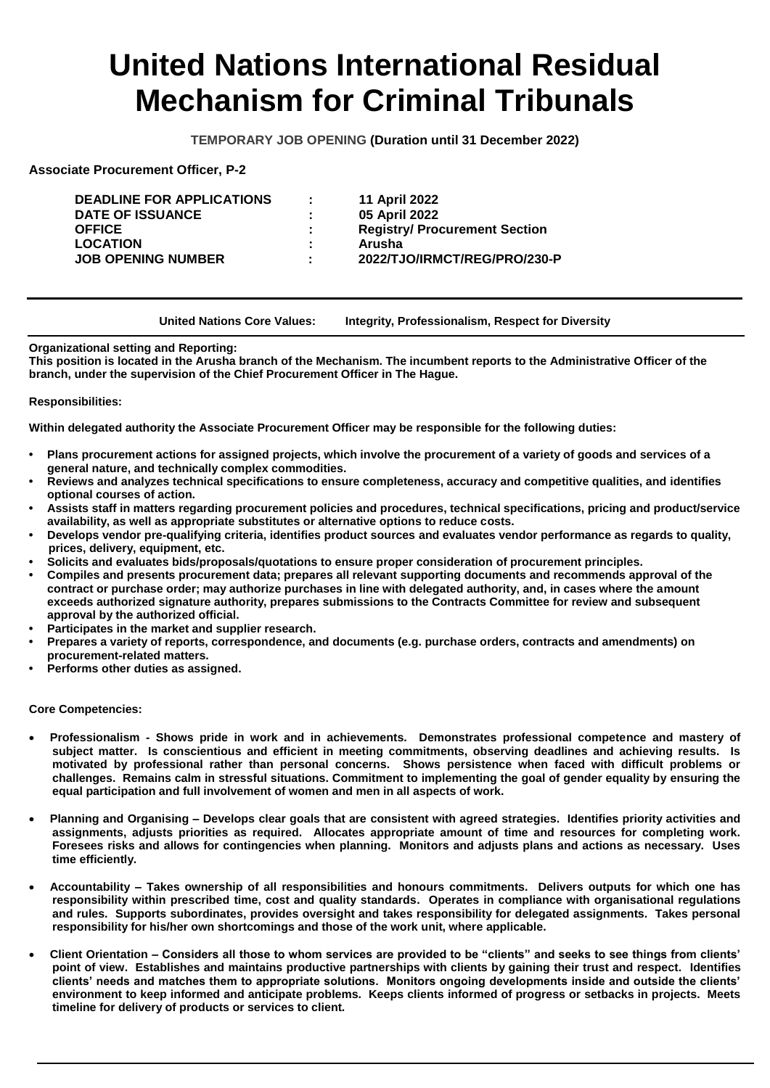# **United Nations International Residual Mechanism for Criminal Tribunals**

**TEMPORARY JOB OPENING (Duration until 31 December 2022)**

**Associate Procurement Officer, P-2**

| <b>DEADLINE FOR APPLICATIONS</b> | ÷  | 11 April 2022                        |
|----------------------------------|----|--------------------------------------|
|                                  |    |                                      |
| <b>DATE OF ISSUANCE</b>          | ٠  | 05 April 2022                        |
| <b>OFFICE</b>                    | ÷  | <b>Registry/ Procurement Section</b> |
| <b>LOCATION</b>                  | ٠. | Arusha                               |
| JOB OPENING NUMBER               | ÷. | 2022/TJO/IRMCT/REG/PRO/230-P         |
|                                  |    |                                      |

**United Nations Core Values: Integrity, Professionalism, Respect for Diversity**

### **Organizational setting and Reporting:**

**This position is located in the Arusha branch of the Mechanism. The incumbent reports to the Administrative Officer of the branch, under the supervision of the Chief Procurement Officer in The Hague.**

### **Responsibilities:**

**Within delegated authority the Associate Procurement Officer may be responsible for the following duties:** 

- **• Plans procurement actions for assigned projects, which involve the procurement of a variety of goods and services of a general nature, and technically complex commodities.**
- **• Reviews and analyzes technical specifications to ensure completeness, accuracy and competitive qualities, and identifies optional courses of action.**
- **• Assists staff in matters regarding procurement policies and procedures, technical specifications, pricing and product/service availability, as well as appropriate substitutes or alternative options to reduce costs.**
- **• Develops vendor pre-qualifying criteria, identifies product sources and evaluates vendor performance as regards to quality, prices, delivery, equipment, etc.**
- **• Solicits and evaluates bids/proposals/quotations to ensure proper consideration of procurement principles.**
- **• Compiles and presents procurement data; prepares all relevant supporting documents and recommends approval of the contract or purchase order; may authorize purchases in line with delegated authority, and, in cases where the amount exceeds authorized signature authority, prepares submissions to the Contracts Committee for review and subsequent approval by the authorized official.**
- **• Participates in the market and supplier research.**
- **• Prepares a variety of reports, correspondence, and documents (e.g. purchase orders, contracts and amendments) on procurement-related matters.**
- **• Performs other duties as assigned.**

## **Core Competencies:**

- **Professionalism - Shows pride in work and in achievements. Demonstrates professional competence and mastery of subject matter. Is conscientious and efficient in meeting commitments, observing deadlines and achieving results. Is motivated by professional rather than personal concerns. Shows persistence when faced with difficult problems or challenges. Remains calm in stressful situations. Commitment to implementing the goal of gender equality by ensuring the equal participation and full involvement of women and men in all aspects of work.**
- **Planning and Organising – Develops clear goals that are consistent with agreed strategies. Identifies priority activities and assignments, adjusts priorities as required. Allocates appropriate amount of time and resources for completing work. Foresees risks and allows for contingencies when planning. Monitors and adjusts plans and actions as necessary. Uses time efficiently.**
- **Accountability – Takes ownership of all responsibilities and honours commitments. Delivers outputs for which one has responsibility within prescribed time, cost and quality standards. Operates in compliance with organisational regulations and rules. Supports subordinates, provides oversight and takes responsibility for delegated assignments. Takes personal responsibility for his/her own shortcomings and those of the work unit, where applicable.**
- **Client Orientation – Considers all those to whom services are provided to be "clients" and seeks to see things from clients' point of view. Establishes and maintains productive partnerships with clients by gaining their trust and respect. Identifies clients' needs and matches them to appropriate solutions. Monitors ongoing developments inside and outside the clients' environment to keep informed and anticipate problems. Keeps clients informed of progress or setbacks in projects. Meets timeline for delivery of products or services to client.**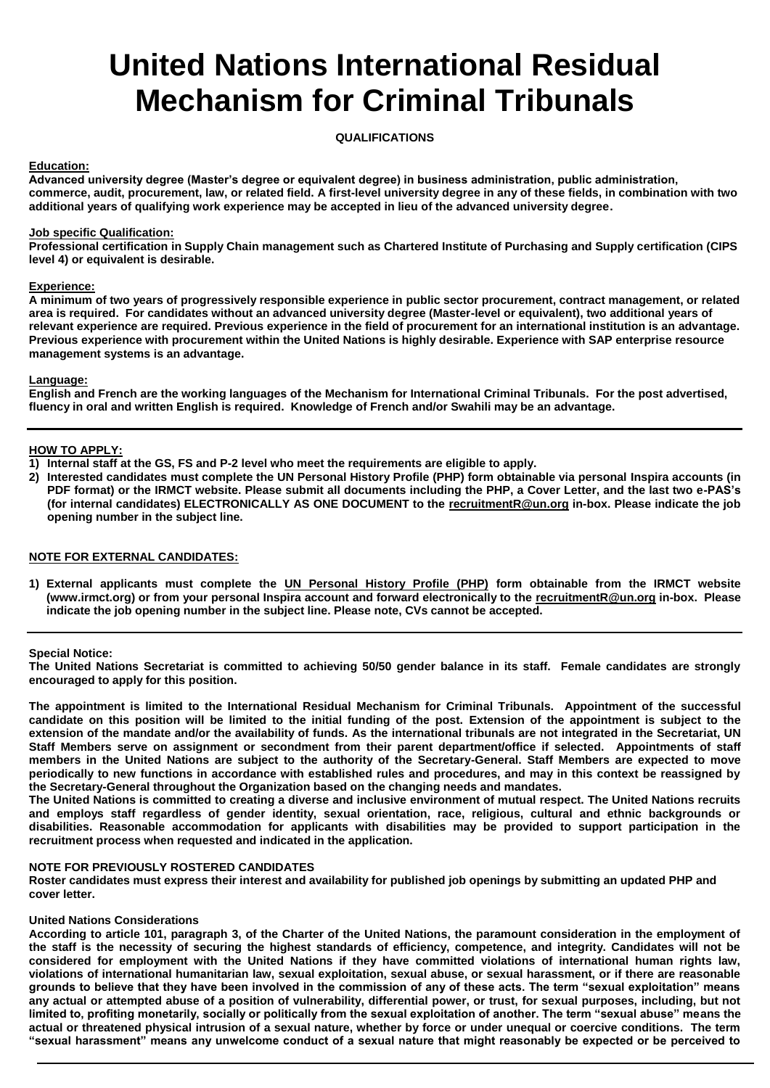# **United Nations International Residual Mechanism for Criminal Tribunals**

**QUALIFICATIONS**

## **Education:**

**Advanced university degree (Master's degree or equivalent degree) in business administration, public administration, commerce, audit, procurement, law, or related field. A first-level university degree in any of these fields, in combination with two additional years of qualifying work experience may be accepted in lieu of the advanced university degree.**

## **Job specific Qualification:**

**Professional certification in Supply Chain management such as Chartered Institute of Purchasing and Supply certification (CIPS level 4) or equivalent is desirable.**

### **Experience:**

**A minimum of two years of progressively responsible experience in public sector procurement, contract management, or related area is required. For candidates without an advanced university degree (Master-level or equivalent), two additional years of relevant experience are required. Previous experience in the field of procurement for an international institution is an advantage. Previous experience with procurement within the United Nations is highly desirable. Experience with SAP enterprise resource management systems is an advantage.**

#### **Language:**

**English and French are the working languages of the Mechanism for International Criminal Tribunals. For the post advertised, fluency in oral and written English is required. Knowledge of French and/or Swahili may be an advantage.**

## **HOW TO APPLY:**

**1) Internal staff at the GS, FS and P-2 level who meet the requirements are eligible to apply.**

**2) Interested candidates must complete the UN Personal History Profile (PHP) form obtainable via personal Inspira accounts (in PDF format) or the IRMCT website. Please submit all documents including the PHP, a Cover Letter, and the last two e-PAS's (for internal candidates) ELECTRONICALLY AS ONE DOCUMENT to the recruitmentR@un.org in-box. Please indicate the job opening number in the subject line.**

## **NOTE FOR EXTERNAL CANDIDATES:**

**1) External applicants must complete the UN Personal History Profile (PHP) form obtainable from the IRMCT website (www.irmct.org) or from your personal Inspira account and forward electronically to the recruitmentR@un.org in-box. Please indicate the job opening number in the subject line. Please note, CVs cannot be accepted.**

#### **Special Notice:**

**The United Nations Secretariat is committed to achieving 50/50 gender balance in its staff. Female candidates are strongly encouraged to apply for this position.** 

**The appointment is limited to the International Residual Mechanism for Criminal Tribunals. Appointment of the successful candidate on this position will be limited to the initial funding of the post. Extension of the appointment is subject to the extension of the mandate and/or the availability of funds. As the international tribunals are not integrated in the Secretariat, UN Staff Members serve on assignment or secondment from their parent department/office if selected. Appointments of staff members in the United Nations are subject to the authority of the Secretary-General. Staff Members are expected to move periodically to new functions in accordance with established rules and procedures, and may in this context be reassigned by the Secretary-General throughout the Organization based on the changing needs and mandates.**

**The United Nations is committed to creating a diverse and inclusive environment of mutual respect. The United Nations recruits and employs staff regardless of gender identity, sexual orientation, race, religious, cultural and ethnic backgrounds or disabilities. Reasonable accommodation for applicants with disabilities may be provided to support participation in the recruitment process when requested and indicated in the application.**

#### **NOTE FOR PREVIOUSLY ROSTERED CANDIDATES**

**Roster candidates must express their interest and availability for published job openings by submitting an updated PHP and cover letter.**

#### **United Nations Considerations**

**According to article 101, paragraph 3, of the Charter of the United Nations, the paramount consideration in the employment of the staff is the necessity of securing the highest standards of efficiency, competence, and integrity. Candidates will not be considered for employment with the United Nations if they have committed violations of international human rights law, violations of international humanitarian law, sexual exploitation, sexual abuse, or sexual harassment, or if there are reasonable grounds to believe that they have been involved in the commission of any of these acts. The term "sexual exploitation" means any actual or attempted abuse of a position of vulnerability, differential power, or trust, for sexual purposes, including, but not limited to, profiting monetarily, socially or politically from the sexual exploitation of another. The term "sexual abuse" means the actual or threatened physical intrusion of a sexual nature, whether by force or under unequal or coercive conditions. The term "sexual harassment" means any unwelcome conduct of a sexual nature that might reasonably be expected or be perceived to**